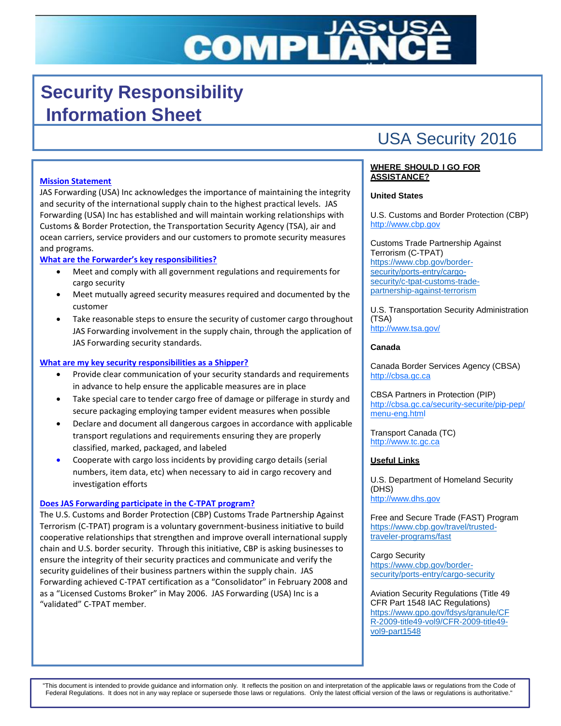# **COMPLI**

# **Security Responsibility Information Sheet**

# USA Security 2016

# **Mission Statement**

JAS Forwarding (USA) Inc acknowledges the importance of maintaining the integrity and security of the international supply chain to the highest practical levels. JAS Forwarding (USA) Inc has established and will maintain working relationships with Customs & Border Protection, the Transportation Security Agency (TSA), air and ocean carriers, service providers and our customers to promote security measures and programs.

# **What are the Forwarder's key responsibilities?**

- Meet and comply with all government regulations and requirements for cargo security
- Meet mutually agreed security measures required and documented by the customer
- Take reasonable steps to ensure the security of customer cargo throughout JAS Forwarding involvement in the supply chain, through the application of JAS Forwarding security standards.

## **What are my key security responsibilities as a Shipper?**

- Provide clear communication of your security standards and requirements in advance to help ensure the applicable measures are in place
- Take special care to tender cargo free of damage or pilferage in sturdy and secure packaging employing tamper evident measures when possible
- Declare and document all dangerous cargoes in accordance with applicable transport regulations and requirements ensuring they are properly classified, marked, packaged, and labeled
- Cooperate with cargo loss incidents by providing cargo details (serial numbers, item data, etc) when necessary to aid in cargo recovery and investigation efforts

## **Does JAS Forwarding participate in the C-TPAT program?**

The U.S. Customs and Border Protection (CBP) Customs Trade Partnership Against Terrorism (C-TPAT) program is a voluntary government-business initiative to build cooperative relationships that strengthen and improve overall international supply chain and U.S. border security. Through this initiative, CBP is asking businesses to ensure the integrity of their security practices and communicate and verify the security guidelines of their business partners within the supply chain. JAS Forwarding achieved C-TPAT certification as a "Consolidator" in February 2008 and as a "Licensed Customs Broker" in May 2006. JAS Forwarding (USA) Inc is a "validated" C-TPAT member.

# **WHERE SHOULD I GO FOR ASSISTANCE?**

## **United States**

U.S. Customs and Border Protection (CBP) [http://www.cbp.gov](http://www.cbp.gov/)

Customs Trade Partnership Against Terrorism (C-TPAT) [https://www.cbp.gov/border](https://www.cbp.gov/border-security/ports-entry/cargo-security/c-tpat-customs-trade-partnership-against-terrorism)[security/ports-entry/cargo](https://www.cbp.gov/border-security/ports-entry/cargo-security/c-tpat-customs-trade-partnership-against-terrorism)[security/c-tpat-customs-trade](https://www.cbp.gov/border-security/ports-entry/cargo-security/c-tpat-customs-trade-partnership-against-terrorism)[partnership-against-terrorism](https://www.cbp.gov/border-security/ports-entry/cargo-security/c-tpat-customs-trade-partnership-against-terrorism)

U.S. Transportation Security Administration (TSA) <http://www.tsa.gov/>

# **Canada**

Canada Border Services Agency (CBSA) [http://cbsa.gc.ca](http://cbsa.gc.ca/)

CBSA Partners in Protection (PIP) [http://cbsa.gc.ca/security-securite/pip-pep/](http://cbsa.gc.ca/security-securite/pip-pep/menu-eng.html) [menu-eng.html](http://cbsa.gc.ca/security-securite/pip-pep/menu-eng.html)

Transport Canada (TC) [http://www.tc.gc.ca](http://www.tc.gc.ca/)

# **Useful Links**

U.S. Department of Homeland Security (DHS) [http://www.dhs.gov](http://www.dhs.gov/)

Free and Secure Trade (FAST) Program [https://www.cbp.gov/travel/trusted](https://www.cbp.gov/travel/trusted-traveler-programs/fast)[traveler-programs/fast](https://www.cbp.gov/travel/trusted-traveler-programs/fast)

Cargo Security [https://www.cbp.gov/border](https://www.cbp.gov/border-security/ports-entry/cargo-security)[security/ports-entry/cargo-security](https://www.cbp.gov/border-security/ports-entry/cargo-security)

Aviation Security Regulations (Title 49 CFR Part 1548 IAC Regulations) [https://www.gpo.gov/fdsys/granule/CF](https://www.gpo.gov/fdsys/granule/CFR-2009-title49-vol9/CFR-2009-title49-vol9-part1548) [R-2009-title49-vol9/CFR-2009-title49](https://www.gpo.gov/fdsys/granule/CFR-2009-title49-vol9/CFR-2009-title49-vol9-part1548) [vol9-part1548](https://www.gpo.gov/fdsys/granule/CFR-2009-title49-vol9/CFR-2009-title49-vol9-part1548)

"This document is intended to provide guidance and information only. It reflects the position on and interpretation of the applicable laws or regulations from the Code of Federal Regulations. It does not in any way replace or supersede those laws or regulations. Only the latest official version of the laws or regulations is authoritative.